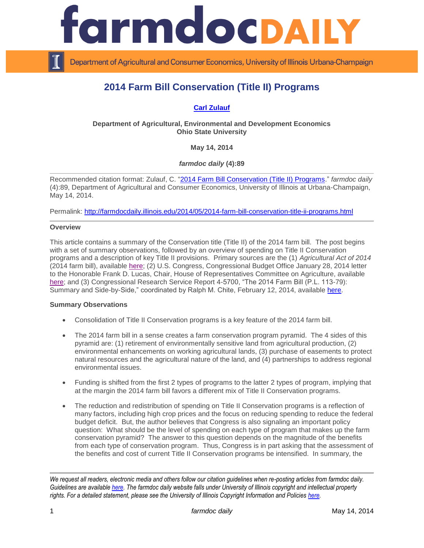

Department of Agricultural and Consumer Economics, University of Illinois Urbana-Champaign

# **2014 Farm Bill Conservation (Title II) Programs**

# **[Carl Zulauf](http://aede.osu.edu/our-people/carl-zulauf)**

**Department of Agricultural, Environmental and Development Economics Ohio State University**

**May 14, 2014**

*farmdoc daily* **(4):89**

Recommended citation format: Zulauf, C. ["2014 Farm Bill Conservation \(Title II\) Programs.](http://farmdocdaily.illinois.edu/2014/05/2014-farm-bill-conservation-title-ii-programs.html)" *farmdoc daily*  (4):89, Department of Agricultural and Consumer Economics, University of Illinois at Urbana-Champaign, May 14, 2014.

Permalink: <http://farmdocdaily.illinois.edu/2014/05/2014-farm-bill-conservation-title-ii-programs.html>

#### **Overview**

This article contains a summary of the Conservation title (Title II) of the 2014 farm bill. The post begins with a set of summary observations, followed by an overview of spending on Title II Conservation programs and a description of key Title II provisions. Primary sources are the (1) *Agricultural Act of 2014* (2014 farm bill), available [here;](http://www.gpo.gov/fdsys/pkg/BILLS-113hr2642enr/pdf/BILLS-113hr2642enr.pdf) (2) U.S. Congress, Congressional Budget Office January 28, 2014 letter to the Honorable Frank D. Lucas, Chair, House of Representatives Committee on Agriculture, available [here;](http://www.cbo.gov/publication/45049) and (3) Congressional Research Service Report 4-5700, "The 2014 Farm Bill (P.L. 113-79): Summary and Side-by-Side," coordinated by Ralph M. Chite, February 12, 2014, available [here.](http://www.farmlandinfo.org/2014-farm-bill-pl-113-79-summary-and-side-side)

#### **Summary Observations**

- Consolidation of Title II Conservation programs is a key feature of the 2014 farm bill.
- The 2014 farm bill in a sense creates a farm conservation program pyramid. The 4 sides of this pyramid are: (1) retirement of environmentally sensitive land from agricultural production, (2) environmental enhancements on working agricultural lands, (3) purchase of easements to protect natural resources and the agricultural nature of the land, and (4) partnerships to address regional environmental issues.
- Funding is shifted from the first 2 types of programs to the latter 2 types of program, implying that at the margin the 2014 farm bill favors a different mix of Title II Conservation programs.
- The reduction and redistribution of spending on Title II Conservation programs is a reflection of many factors, including high crop prices and the focus on reducing spending to reduce the federal budget deficit. But, the author believes that Congress is also signaling an important policy question: What should be the level of spending on each type of program that makes up the farm conservation pyramid? The answer to this question depends on the magnitude of the benefits from each type of conservation program. Thus, Congress is in part asking that the assessment of the benefits and cost of current Title II Conservation programs be intensified. In summary, the

*We request all readers, electronic media and others follow our citation guidelines when re-posting articles from farmdoc daily. Guidelines are available [here.](http://farmdocdaily.illinois.edu/citationguide.html) The farmdoc daily website falls under University of Illinois copyright and intellectual property rights. For a detailed statement, please see the University of Illinois Copyright Information and Policies [here.](http://www.cio.illinois.edu/policies/copyright/)*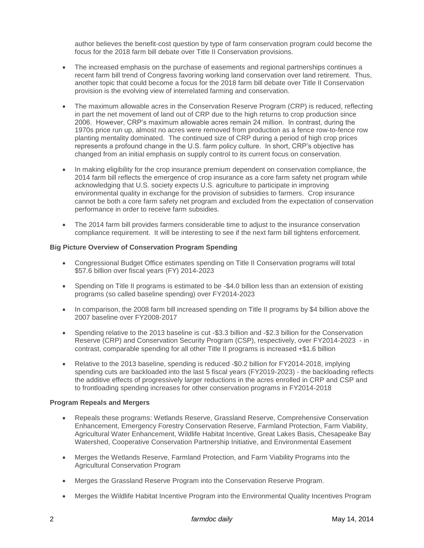author believes the benefit-cost question by type of farm conservation program could become the focus for the 2018 farm bill debate over Title II Conservation provisions.

- The increased emphasis on the purchase of easements and regional partnerships continues a recent farm bill trend of Congress favoring working land conservation over land retirement. Thus, another topic that could become a focus for the 2018 farm bill debate over Title II Conservation provision is the evolving view of interrelated farming and conservation.
- The maximum allowable acres in the Conservation Reserve Program (CRP) is reduced, reflecting in part the net movement of land out of CRP due to the high returns to crop production since 2006. However, CRP's maximum allowable acres remain 24 million. In contrast, during the 1970s price run up, almost no acres were removed from production as a fence row-to-fence row planting mentality dominated. The continued size of CRP during a period of high crop prices represents a profound change in the U.S. farm policy culture. In short, CRP's objective has changed from an initial emphasis on supply control to its current focus on conservation.
- In making eligibility for the crop insurance premium dependent on conservation compliance, the 2014 farm bill reflects the emergence of crop insurance as a core farm safety net program while acknowledging that U.S. society expects U.S. agriculture to participate in improving environmental quality in exchange for the provision of subsidies to farmers. Crop insurance cannot be both a core farm safety net program and excluded from the expectation of conservation performance in order to receive farm subsidies.
- The 2014 farm bill provides farmers considerable time to adjust to the insurance conservation compliance requirement. It will be interesting to see if the next farm bill tightens enforcement.

# **Big Picture Overview of Conservation Program Spending**

- Congressional Budget Office estimates spending on Title II Conservation programs will total \$57.6 billion over fiscal years (FY) 2014-2023
- Spending on Title II programs is estimated to be -\$4.0 billion less than an extension of existing programs (so called baseline spending) over FY2014-2023
- In comparison, the 2008 farm bill increased spending on Title II programs by \$4 billion above the 2007 baseline over FY2008-2017
- Spending relative to the 2013 baseline is cut -\$3.3 billion and -\$2.3 billion for the Conservation Reserve (CRP) and Conservation Security Program (CSP), respectively, over FY2014-2023 - in contrast, comparable spending for all other Title II programs is increased +\$1.6 billion
- Relative to the 2013 baseline, spending is reduced -\$0.2 billion for FY2014-2018, implying spending cuts are backloaded into the last 5 fiscal years (FY2019-2023) - the backloading reflects the additive effects of progressively larger reductions in the acres enrolled in CRP and CSP and to frontloading spending increases for other conservation programs in FY2014-2018

#### **Program Repeals and Mergers**

- Repeals these programs: Wetlands Reserve, Grassland Reserve, Comprehensive Conservation Enhancement, Emergency Forestry Conservation Reserve, Farmland Protection, Farm Viability, Agricultural Water Enhancement, Wildlife Habitat Incentive, Great Lakes Basis, Chesapeake Bay Watershed, Cooperative Conservation Partnership Initiative, and Environmental Easement
- Merges the Wetlands Reserve, Farmland Protection, and Farm Viability Programs into the Agricultural Conservation Program
- Merges the Grassland Reserve Program into the Conservation Reserve Program.
- Merges the Wildlife Habitat Incentive Program into the Environmental Quality Incentives Program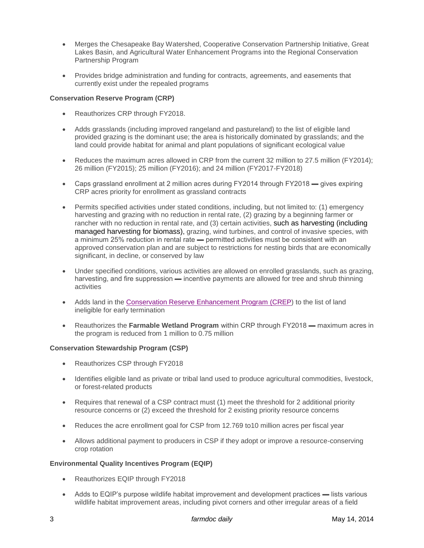- Merges the Chesapeake Bay Watershed, Cooperative Conservation Partnership Initiative, Great Lakes Basin, and Agricultural Water Enhancement Programs into the Regional Conservation Partnership Program
- Provides bridge administration and funding for contracts, agreements, and easements that currently exist under the repealed programs

#### **Conservation Reserve Program (CRP)**

- Reauthorizes CRP through FY2018.
- Adds grasslands (including improved rangeland and pastureland) to the list of eligible land provided grazing is the dominant use; the area is historically dominated by grasslands; and the land could provide habitat for animal and plant populations of significant ecological value
- Reduces the maximum acres allowed in CRP from the current 32 million to 27.5 million (FY2014); 26 million (FY2015); 25 million (FY2016); and 24 million (FY2017-FY2018)
- Caps grassland enrollment at 2 million acres during FY2014 through FY2018 gives expiring CRP acres priority for enrollment as grassland contracts
- Permits specified activities under stated conditions, including, but not limited to: (1) emergency harvesting and grazing with no reduction in rental rate, (2) grazing by a beginning farmer or rancher with no reduction in rental rate, and (3) certain activities, such as harvesting (including managed harvesting for biomass), grazing, wind turbines, and control of invasive species, with a minimum 25% reduction in rental rate — permitted activities must be consistent with an approved conservation plan and are subject to restrictions for nesting birds that are economically significant, in decline, or conserved by law
- Under specified conditions, various activities are allowed on enrolled grasslands, such as grazing, harvesting, and fire suppression — incentive payments are allowed for tree and shrub thinning activities
- Adds land in the [Conservation Reserve Enhancement Program \(CREP\)](https://www.fsa.usda.gov/FSA/webapp?area=home&subject=copr&topic=cep) to the list of land ineligible for early termination
- Reauthorizes the **Farmable Wetland Program** within CRP through FY2018 maximum acres in the program is reduced from 1 million to 0.75 million

#### **Conservation Stewardship Program (CSP)**

- Reauthorizes CSP through FY2018
- Identifies eligible land as private or tribal land used to produce agricultural commodities, livestock, or forest-related products
- Requires that renewal of a CSP contract must (1) meet the threshold for 2 additional priority resource concerns or (2) exceed the threshold for 2 existing priority resource concerns
- Reduces the acre enrollment goal for CSP from 12.769 to10 million acres per fiscal year
- Allows additional payment to producers in CSP if they adopt or improve a resource-conserving crop rotation

#### **Environmental Quality Incentives Program (EQIP)**

- Reauthorizes EQIP through FY2018
- Adds to EQIP's purpose wildlife habitat improvement and development practices lists various wildlife habitat improvement areas, including pivot corners and other irregular areas of a field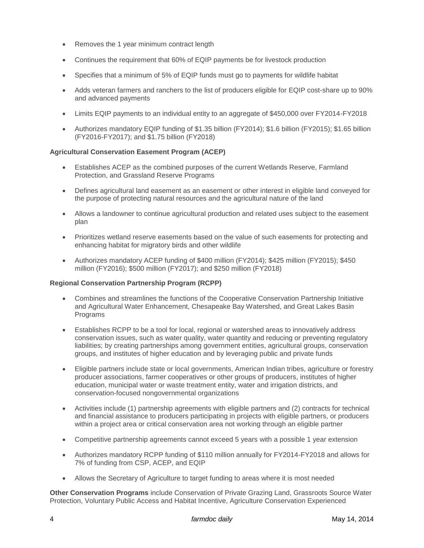- Removes the 1 year minimum contract length
- Continues the requirement that 60% of EQIP payments be for livestock production
- Specifies that a minimum of 5% of EQIP funds must go to payments for wildlife habitat
- Adds veteran farmers and ranchers to the list of producers eligible for EQIP cost-share up to 90% and advanced payments
- Limits EQIP payments to an individual entity to an aggregate of \$450,000 over FY2014-FY2018
- Authorizes mandatory EQIP funding of \$1.35 billion (FY2014); \$1.6 billion (FY2015); \$1.65 billion (FY2016-FY2017); and \$1.75 billion (FY2018)

# **Agricultural Conservation Easement Program (ACEP)**

- Establishes ACEP as the combined purposes of the current Wetlands Reserve, Farmland Protection, and Grassland Reserve Programs
- Defines agricultural land easement as an easement or other interest in eligible land conveyed for the purpose of protecting natural resources and the agricultural nature of the land
- Allows a landowner to continue agricultural production and related uses subject to the easement plan
- Prioritizes wetland reserve easements based on the value of such easements for protecting and enhancing habitat for migratory birds and other wildlife
- Authorizes mandatory ACEP funding of \$400 million (FY2014); \$425 million (FY2015); \$450 million (FY2016); \$500 million (FY2017); and \$250 million (FY2018)

#### **Regional Conservation Partnership Program (RCPP)**

- Combines and streamlines the functions of the Cooperative Conservation Partnership Initiative and Agricultural Water Enhancement, Chesapeake Bay Watershed, and Great Lakes Basin **Programs**
- Establishes RCPP to be a tool for local, regional or watershed areas to innovatively address conservation issues, such as water quality, water quantity and reducing or preventing regulatory liabilities; by creating partnerships among government entities, agricultural groups, conservation groups, and institutes of higher education and by leveraging public and private funds
- Eligible partners include state or local governments, American Indian tribes, agriculture or forestry producer associations, farmer cooperatives or other groups of producers, institutes of higher education, municipal water or waste treatment entity, water and irrigation districts, and conservation-focused nongovernmental organizations
- Activities include (1) partnership agreements with eligible partners and (2) contracts for technical and financial assistance to producers participating in projects with eligible partners, or producers within a project area or critical conservation area not working through an eligible partner
- Competitive partnership agreements cannot exceed 5 years with a possible 1 year extension
- Authorizes mandatory RCPP funding of \$110 million annually for FY2014-FY2018 and allows for 7% of funding from CSP, ACEP, and EQIP
- Allows the Secretary of Agriculture to target funding to areas where it is most needed

**Other Conservation Programs** include Conservation of Private Grazing Land, Grassroots Source Water Protection, Voluntary Public Access and Habitat Incentive, Agriculture Conservation Experienced